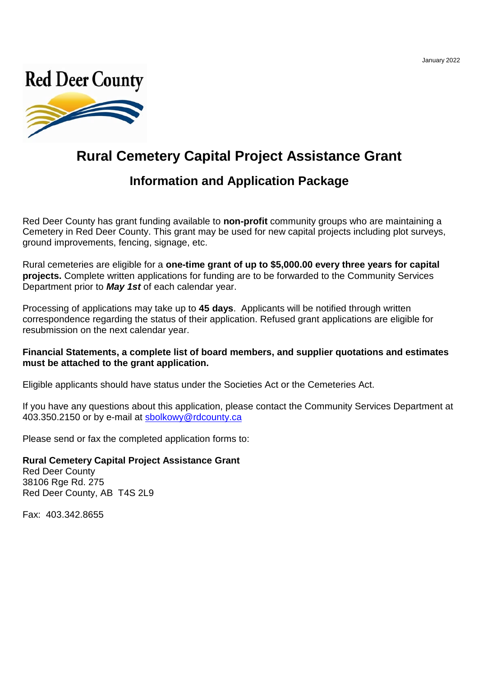

# **Rural Cemetery Capital Project Assistance Grant**

# **Information and Application Package**

Red Deer County has grant funding available to **non-profit** community groups who are maintaining a Cemetery in Red Deer County. This grant may be used for new capital projects including plot surveys, ground improvements, fencing, signage, etc.

Rural cemeteries are eligible for a **one-time grant of up to \$5,000.00 every three years for capital projects.** Complete written applications for funding are to be forwarded to the Community Services Department prior to *May 1st* of each calendar year.

Processing of applications may take up to **45 days**. Applicants will be notified through written correspondence regarding the status of their application. Refused grant applications are eligible for resubmission on the next calendar year.

### **Financial Statements, a complete list of board members, and supplier quotations and estimates must be attached to the grant application.**

Eligible applicants should have status under the Societies Act or the Cemeteries Act.

If you have any questions about this application, please contact the Community Services Department at 403.350.2150 or by e-mail at sbolkowy@rdcounty.ca

Please send or fax the completed application forms to:

#### **Rural Cemetery Capital Project Assistance Grant**

Red Deer County 38106 Rge Rd. 275 Red Deer County, AB T4S 2L9

Fax: 403.342.8655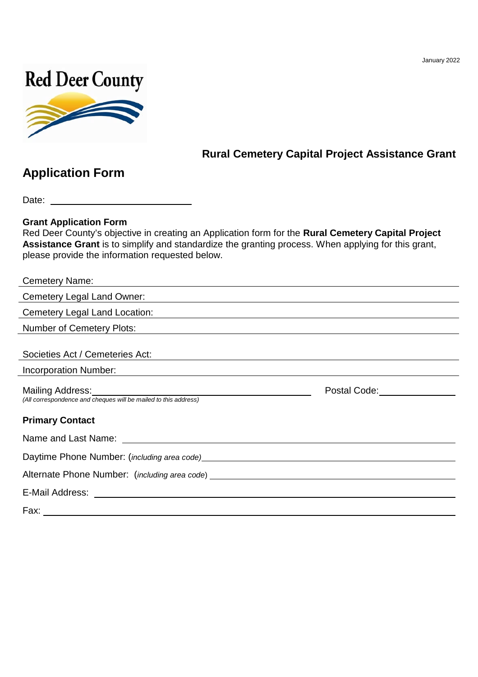January 2022



# **Rural Cemetery Capital Project Assistance Grant**

# **Application Form**

Date: **Date: Date: Date: Date: Date: Date: Date: Date: Date: Date: Date: Date: Date: Date: Date: Date: Date: Date: Date: Date: Date: Date: Date: Date: Date: Date: Date:**

### **Grant Application Form**

Red Deer County's objective in creating an Application form for the **Rural Cemetery Capital Project Assistance Grant** is to simplify and standardize the granting process. When applying for this grant, please provide the information requested below.

| <b>Cemetery Name:</b>                                                                                                                            |                                                        |
|--------------------------------------------------------------------------------------------------------------------------------------------------|--------------------------------------------------------|
| Cemetery Legal Land Owner:                                                                                                                       |                                                        |
| Cemetery Legal Land Location:                                                                                                                    |                                                        |
| Number of Cemetery Plots:                                                                                                                        |                                                        |
| Societies Act / Cemeteries Act:                                                                                                                  |                                                        |
| Incorporation Number:                                                                                                                            |                                                        |
| Mailing Address: Mailing Address: Mailing Address: Mailing Address: Mail 1999<br>(All correspondence and cheques will be mailed to this address) | Postal Code: The Contract of the Contract of the Code: |
| <b>Primary Contact</b>                                                                                                                           |                                                        |
|                                                                                                                                                  |                                                        |
|                                                                                                                                                  |                                                        |
|                                                                                                                                                  |                                                        |
| E-Mail Address: 2008. 2009. 2009. 2009. 2010. 2010. 2010. 2010. 2010. 2010. 2010. 2010. 2010. 2010. 2010. 201                                    |                                                        |
| Fax:                                                                                                                                             |                                                        |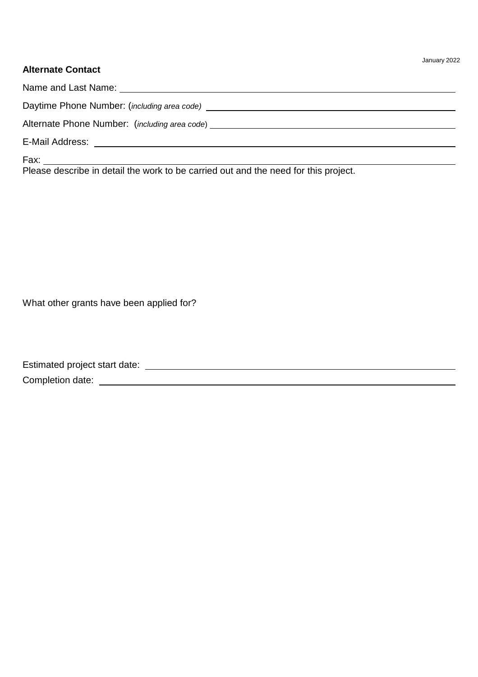### **Alternate Contact**

| Alternate Phone Number: (including area code) ___________________________________ |
|-----------------------------------------------------------------------------------|
|                                                                                   |
|                                                                                   |

Please describe in detail the work to be carried out and the need for this project.

What other grants have been applied for?

| Estimated project start date: |  |
|-------------------------------|--|
| Completion date:              |  |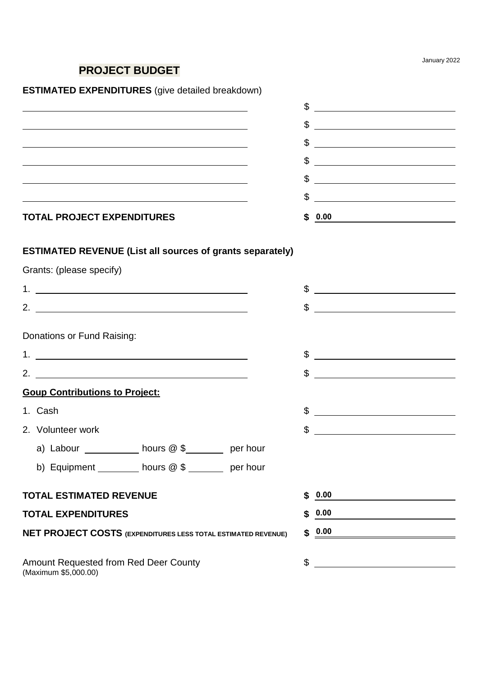January 2022

# **PROJECT BUDGET**

# **ESTIMATED EXPENDITURES** (give detailed breakdown)

| <b>TOTAL PROJECT EXPENDITURES</b> |    | 0.00                                                             |
|-----------------------------------|----|------------------------------------------------------------------|
|                                   | \$ |                                                                  |
|                                   | \$ |                                                                  |
|                                   | \$ | <u> 1989 - Johann Harry Barn, mars ar breist fan de Fryske k</u> |
|                                   | \$ |                                                                  |
|                                   |    |                                                                  |
|                                   | Æ  |                                                                  |

## **ESTIMATED REVENUE (List all sources of grants separately)**

Grants: (please specify)

| \$<br>2.<br><u> 1980 - Johann John Stein, fransk politik (f. 1980)</u>                                                     |  |
|----------------------------------------------------------------------------------------------------------------------------|--|
|                                                                                                                            |  |
|                                                                                                                            |  |
| Donations or Fund Raising:                                                                                                 |  |
| \$<br><u> 1989 - Johann Barbara, martin amerikan basal dan berasal dan berasal dalam basal dan berasal dan berasal dan</u> |  |
| \$<br>2.<br><u> 1989 - Andrea Stadt Britain, marwolaeth a bhliain 1980.</u>                                                |  |
| <b>Goup Contributions to Project:</b>                                                                                      |  |
| \$<br>1. Cash                                                                                                              |  |
| \$<br>2. Volunteer work                                                                                                    |  |
| a) Labour ____________ hours @ \$________ per hour                                                                         |  |
| b) Equipment _________ hours @ \$ ______ per hour                                                                          |  |
| <b>TOTAL ESTIMATED REVENUE</b><br>\$0.00                                                                                   |  |
| 0.00<br><b>TOTAL EXPENDITURES</b><br>\$                                                                                    |  |
|                                                                                                                            |  |
| \$0.00<br><b>NET PROJECT COSTS (EXPENDITURES LESS TOTAL ESTIMATED REVENUE)</b>                                             |  |
|                                                                                                                            |  |